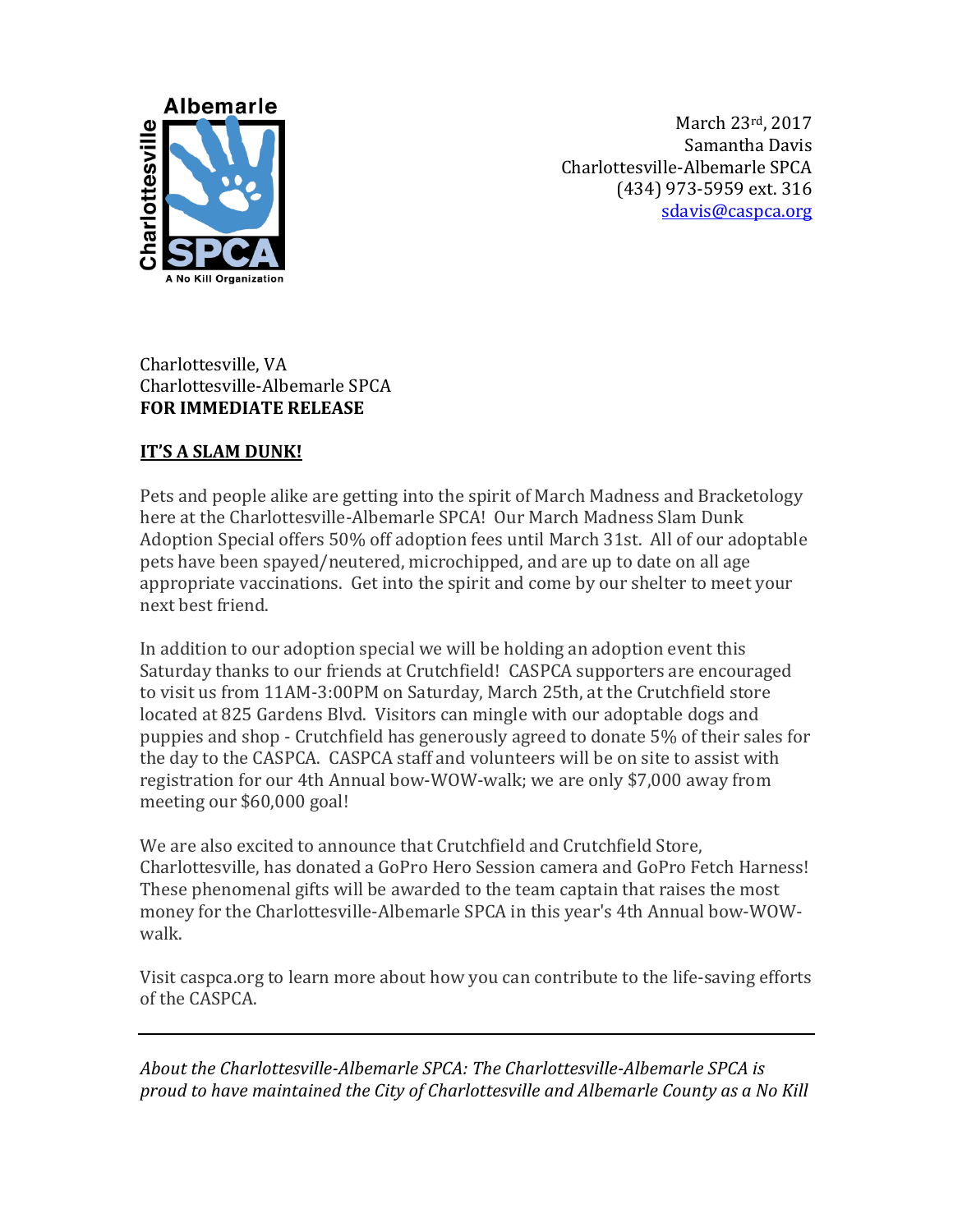

March 23rd, 2017 Samantha Davis Charlottesville-Albemarle SPCA (434) 973-5959 ext. 316 [sdavis@caspca.org](mailto:mrhondeau@caspca.org)

## Charlottesville, VA Charlottesville-Albemarle SPCA **FOR IMMEDIATE RELEASE**

## **IT'S A SLAM DUNK!**

Pets and people alike are getting into the spirit of March Madness and Bracketology here at the Charlottesville-Albemarle SPCA! Our March Madness Slam Dunk Adoption Special offers 50% off adoption fees until March 31st. All of our adoptable pets have been spayed/neutered, microchipped, and are up to date on all age appropriate vaccinations. Get into the spirit and come by our shelter to meet your next best friend.

In addition to our adoption special we will be holding an adoption event this Saturday thanks to our friends at Crutchfield! CASPCA supporters are encouraged to visit us from 11AM-3:00PM on Saturday, March 25th, at the Crutchfield store located at 825 Gardens Blvd. Visitors can mingle with our adoptable dogs and puppies and shop - Crutchfield has generously agreed to donate 5% of their sales for the day to the CASPCA. CASPCA staff and volunteers will be on site to assist with registration for our 4th Annual bow-WOW-walk; we are only \$7,000 away from meeting our \$60,000 goal!

We are also excited to announce that Crutchfield and Crutchfield Store, Charlottesville, has donated a GoPro Hero Session camera and GoPro Fetch Harness! These phenomenal gifts will be awarded to the team captain that raises the most money for the Charlottesville-Albemarle SPCA in this year's 4th Annual bow-WOWwalk.

Visit caspca.org to learn more about how you can contribute to the life-saving efforts of the CASPCA.

*About the Charlottesville-Albemarle SPCA: The Charlottesville-Albemarle SPCA is proud to have maintained the City of Charlottesville and Albemarle County as a No Kill*